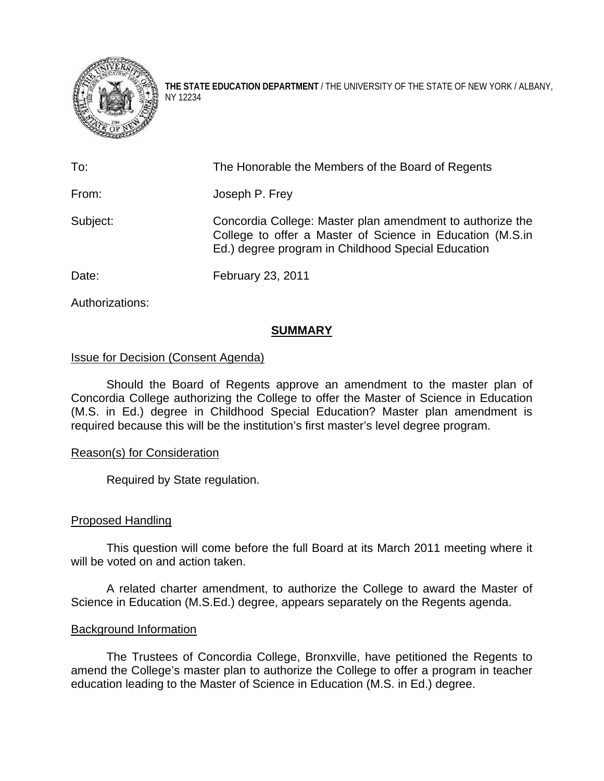

**THE STATE EDUCATION DEPARTMENT** / THE UNIVERSITY OF THE STATE OF NEW YORK / ALBANY, NY 12234

| To:      | The Honorable the Members of the Board of Regents                                                                                                                            |
|----------|------------------------------------------------------------------------------------------------------------------------------------------------------------------------------|
| From:    | Joseph P. Frey                                                                                                                                                               |
| Subject: | Concordia College: Master plan amendment to authorize the<br>College to offer a Master of Science in Education (M.S.in<br>Ed.) degree program in Childhood Special Education |
| Date:    | February 23, 2011                                                                                                                                                            |

Authorizations:

# **SUMMARY**

## Issue for Decision (Consent Agenda)

 Should the Board of Regents approve an amendment to the master plan of Concordia College authorizing the College to offer the Master of Science in Education (M.S. in Ed.) degree in Childhood Special Education? Master plan amendment is required because this will be the institution's first master's level degree program.

## Reason(s) for Consideration

Required by State regulation.

## Proposed Handling

This question will come before the full Board at its March 2011 meeting where it will be voted on and action taken.

A related charter amendment, to authorize the College to award the Master of Science in Education (M.S.Ed.) degree, appears separately on the Regents agenda.

## Background Information

 The Trustees of Concordia College, Bronxville, have petitioned the Regents to amend the College's master plan to authorize the College to offer a program in teacher education leading to the Master of Science in Education (M.S. in Ed.) degree.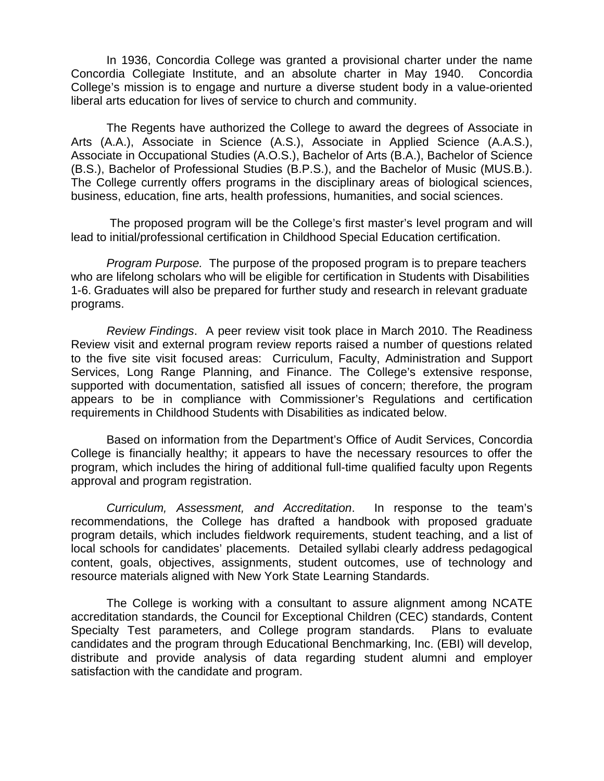In 1936, Concordia College was granted a provisional charter under the name Concordia Collegiate Institute, and an absolute charter in May 1940. Concordia College's mission is to engage and nurture a diverse student body in a value-oriented liberal arts education for lives of service to church and community.

The Regents have authorized the College to award the degrees of Associate in Arts (A.A.), Associate in Science (A.S.), Associate in Applied Science (A.A.S.), Associate in Occupational Studies (A.O.S.), Bachelor of Arts (B.A.), Bachelor of Science (B.S.), Bachelor of Professional Studies (B.P.S.), and the Bachelor of Music (MUS.B.). The College currently offers programs in the disciplinary areas of biological sciences, business, education, fine arts, health professions, humanities, and social sciences.

 The proposed program will be the College's first master's level program and will lead to initial/professional certification in Childhood Special Education certification.

 *Program Purpose.* The purpose of the proposed program is to prepare teachers who are lifelong scholars who will be eligible for certification in Students with Disabilities 1-6. Graduates will also be prepared for further study and research in relevant graduate programs.

*Review Findings*. A peer review visit took place in March 2010. The Readiness Review visit and external program review reports raised a number of questions related to the five site visit focused areas: Curriculum, Faculty, Administration and Support Services, Long Range Planning, and Finance. The College's extensive response, supported with documentation, satisfied all issues of concern; therefore, the program appears to be in compliance with Commissioner's Regulations and certification requirements in Childhood Students with Disabilities as indicated below.

Based on information from the Department's Office of Audit Services, Concordia College is financially healthy; it appears to have the necessary resources to offer the program, which includes the hiring of additional full-time qualified faculty upon Regents approval and program registration.

 *Curriculum, Assessment, and Accreditation*. In response to the team's recommendations, the College has drafted a handbook with proposed graduate program details, which includes fieldwork requirements, student teaching, and a list of local schools for candidates' placements. Detailed syllabi clearly address pedagogical content, goals, objectives, assignments, student outcomes, use of technology and resource materials aligned with New York State Learning Standards.

 The College is working with a consultant to assure alignment among NCATE accreditation standards, the Council for Exceptional Children (CEC) standards, Content Specialty Test parameters, and College program standards. Plans to evaluate candidates and the program through Educational Benchmarking, Inc. (EBI) will develop, distribute and provide analysis of data regarding student alumni and employer satisfaction with the candidate and program.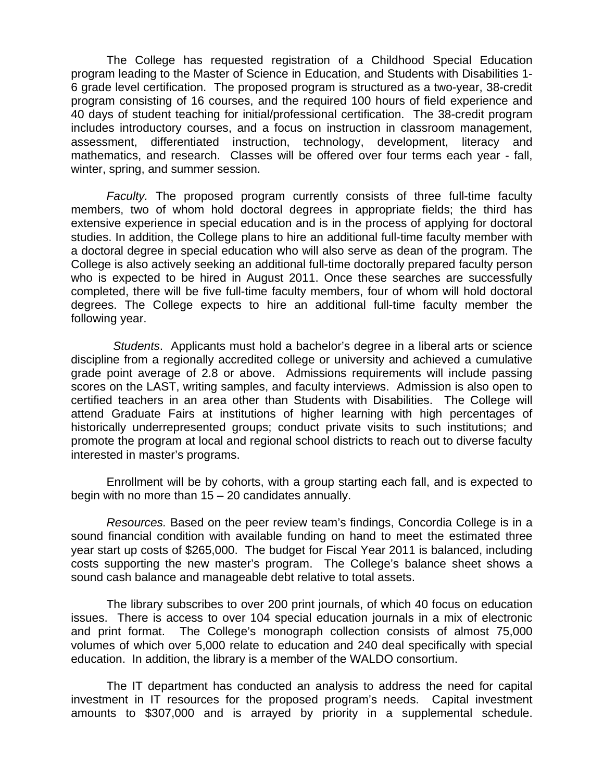The College has requested registration of a Childhood Special Education program leading to the Master of Science in Education, and Students with Disabilities 1- 6 grade level certification. The proposed program is structured as a two-year, 38-credit program consisting of 16 courses, and the required 100 hours of field experience and 40 days of student teaching for initial/professional certification. The 38-credit program includes introductory courses, and a focus on instruction in classroom management, assessment, differentiated instruction, technology, development, literacy and mathematics, and research. Classes will be offered over four terms each year - fall, winter, spring, and summer session.

*Faculty.* The proposed program currently consists of three full-time faculty members, two of whom hold doctoral degrees in appropriate fields; the third has extensive experience in special education and is in the process of applying for doctoral studies. In addition, the College plans to hire an additional full-time faculty member with a doctoral degree in special education who will also serve as dean of the program. The College is also actively seeking an additional full-time doctorally prepared faculty person who is expected to be hired in August 2011. Once these searches are successfully completed, there will be five full-time faculty members, four of whom will hold doctoral degrees. The College expects to hire an additional full-time faculty member the following year.

 *Students*. Applicants must hold a bachelor's degree in a liberal arts or science discipline from a regionally accredited college or university and achieved a cumulative grade point average of 2.8 or above. Admissions requirements will include passing scores on the LAST, writing samples, and faculty interviews. Admission is also open to certified teachers in an area other than Students with Disabilities. The College will attend Graduate Fairs at institutions of higher learning with high percentages of historically underrepresented groups; conduct private visits to such institutions; and promote the program at local and regional school districts to reach out to diverse faculty interested in master's programs.

Enrollment will be by cohorts, with a group starting each fall, and is expected to begin with no more than 15 – 20 candidates annually.

*Resources.* Based on the peer review team's findings, Concordia College is in a sound financial condition with available funding on hand to meet the estimated three year start up costs of \$265,000. The budget for Fiscal Year 2011 is balanced, including costs supporting the new master's program. The College's balance sheet shows a sound cash balance and manageable debt relative to total assets.

 The library subscribes to over 200 print journals, of which 40 focus on education issues. There is access to over 104 special education journals in a mix of electronic and print format. The College's monograph collection consists of almost 75,000 volumes of which over 5,000 relate to education and 240 deal specifically with special education. In addition, the library is a member of the WALDO consortium.

 The IT department has conducted an analysis to address the need for capital investment in IT resources for the proposed program's needs. Capital investment amounts to \$307,000 and is arrayed by priority in a supplemental schedule.